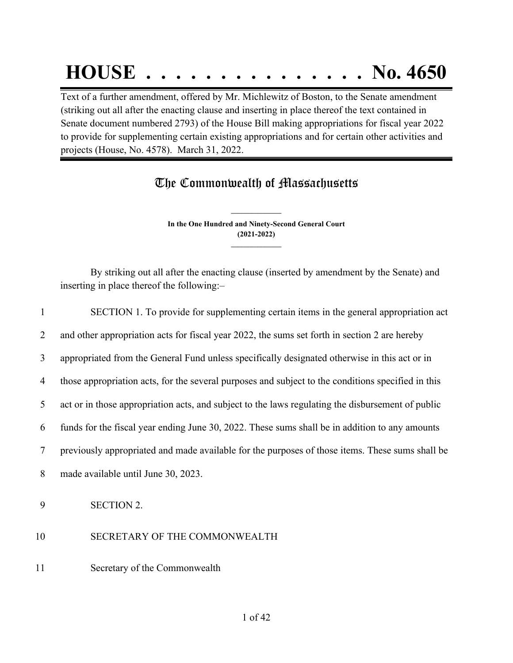# **HOUSE . . . . . . . . . . . . . . . No. 4650**

Text of a further amendment, offered by Mr. Michlewitz of Boston, to the Senate amendment (striking out all after the enacting clause and inserting in place thereof the text contained in Senate document numbered 2793) of the House Bill making appropriations for fiscal year 2022 to provide for supplementing certain existing appropriations and for certain other activities and projects (House, No. 4578). March 31, 2022.

## The Commonwealth of Massachusetts

**In the One Hundred and Ninety-Second General Court (2021-2022) \_\_\_\_\_\_\_\_\_\_\_\_\_\_\_**

**\_\_\_\_\_\_\_\_\_\_\_\_\_\_\_**

By striking out all after the enacting clause (inserted by amendment by the Senate) and inserting in place thereof the following:–

| 1  | SECTION 1. To provide for supplementing certain items in the general appropriation act             |
|----|----------------------------------------------------------------------------------------------------|
| 2  | and other appropriation acts for fiscal year 2022, the sums set forth in section 2 are hereby      |
| 3  | appropriated from the General Fund unless specifically designated otherwise in this act or in      |
| 4  | those appropriation acts, for the several purposes and subject to the conditions specified in this |
| 5  | act or in those appropriation acts, and subject to the laws regulating the disbursement of public  |
| 6  | funds for the fiscal year ending June 30, 2022. These sums shall be in addition to any amounts     |
| 7  | previously appropriated and made available for the purposes of those items. These sums shall be    |
| 8  | made available until June 30, 2023.                                                                |
| 9  | <b>SECTION 2.</b>                                                                                  |
| 10 | SECRETARY OF THE COMMONWEALTH                                                                      |
| 11 | Secretary of the Commonwealth                                                                      |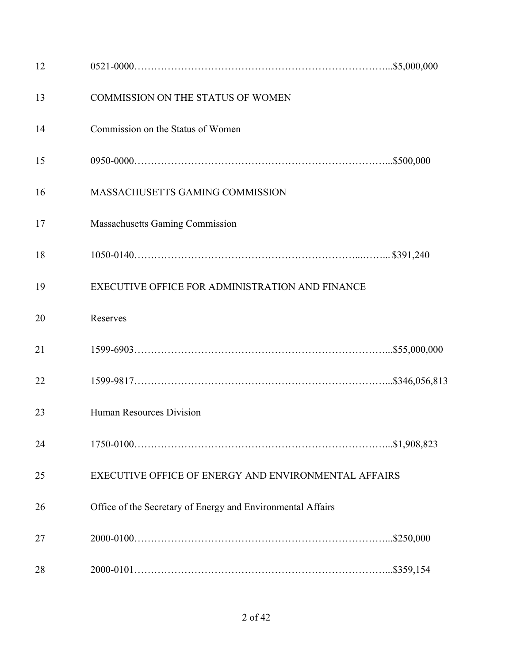| 12 |                                                             |  |
|----|-------------------------------------------------------------|--|
| 13 | COMMISSION ON THE STATUS OF WOMEN                           |  |
| 14 | Commission on the Status of Women                           |  |
| 15 |                                                             |  |
| 16 | MASSACHUSETTS GAMING COMMISSION                             |  |
| 17 | <b>Massachusetts Gaming Commission</b>                      |  |
| 18 |                                                             |  |
| 19 | EXECUTIVE OFFICE FOR ADMINISTRATION AND FINANCE             |  |
| 20 | Reserves                                                    |  |
| 21 |                                                             |  |
| 22 |                                                             |  |
| 23 | <b>Human Resources Division</b>                             |  |
| 24 |                                                             |  |
| 25 | EXECUTIVE OFFICE OF ENERGY AND ENVIRONMENTAL AFFAIRS        |  |
| 26 | Office of the Secretary of Energy and Environmental Affairs |  |
| 27 |                                                             |  |
| 28 |                                                             |  |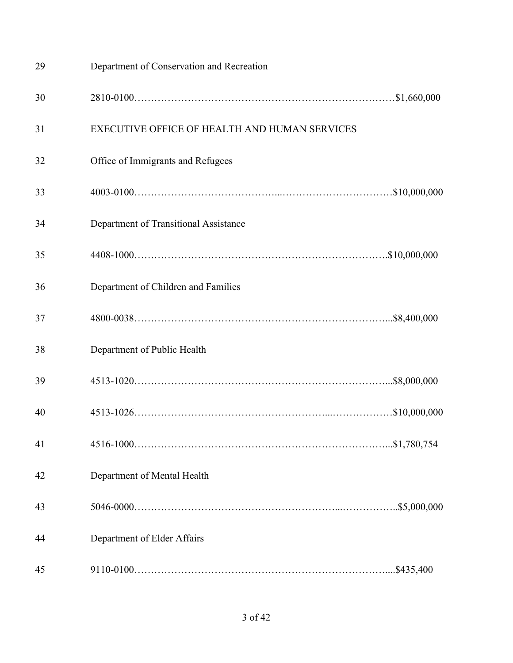| 29 | Department of Conservation and Recreation            |  |
|----|------------------------------------------------------|--|
| 30 |                                                      |  |
| 31 | <b>EXECUTIVE OFFICE OF HEALTH AND HUMAN SERVICES</b> |  |
| 32 | Office of Immigrants and Refugees                    |  |
| 33 |                                                      |  |
| 34 | Department of Transitional Assistance                |  |
| 35 |                                                      |  |
| 36 | Department of Children and Families                  |  |
| 37 |                                                      |  |
| 38 | Department of Public Health                          |  |
| 39 |                                                      |  |
| 40 |                                                      |  |
| 41 |                                                      |  |
| 42 | Department of Mental Health                          |  |
| 43 |                                                      |  |
| 44 | Department of Elder Affairs                          |  |
| 45 |                                                      |  |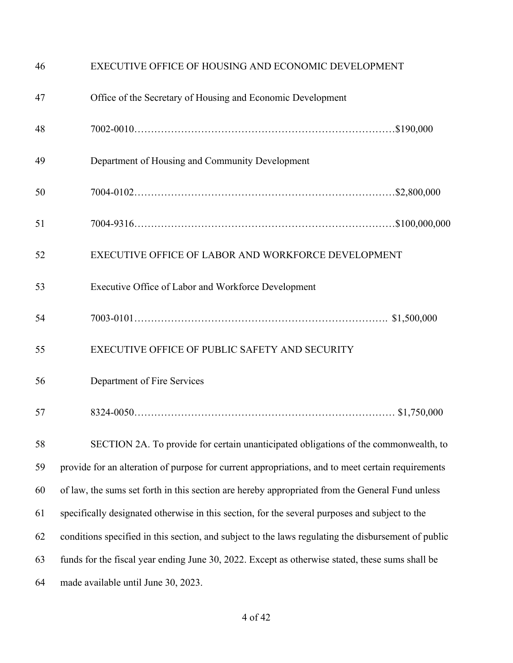| 46 | EXECUTIVE OFFICE OF HOUSING AND ECONOMIC DEVELOPMENT                                                |
|----|-----------------------------------------------------------------------------------------------------|
| 47 | Office of the Secretary of Housing and Economic Development                                         |
| 48 |                                                                                                     |
| 49 | Department of Housing and Community Development                                                     |
| 50 |                                                                                                     |
| 51 |                                                                                                     |
| 52 | EXECUTIVE OFFICE OF LABOR AND WORKFORCE DEVELOPMENT                                                 |
| 53 | Executive Office of Labor and Workforce Development                                                 |
| 54 |                                                                                                     |
| 55 | EXECUTIVE OFFICE OF PUBLIC SAFETY AND SECURITY                                                      |
| 56 | Department of Fire Services                                                                         |
| 57 |                                                                                                     |
| 58 | SECTION 2A. To provide for certain unanticipated obligations of the commonwealth, to                |
| 59 | provide for an alteration of purpose for current appropriations, and to meet certain requirements   |
| 60 | of law, the sums set forth in this section are hereby appropriated from the General Fund unless     |
| 61 | specifically designated otherwise in this section, for the several purposes and subject to the      |
| 62 | conditions specified in this section, and subject to the laws regulating the disbursement of public |
| 63 | funds for the fiscal year ending June 30, 2022. Except as otherwise stated, these sums shall be     |
| 64 | made available until June 30, 2023.                                                                 |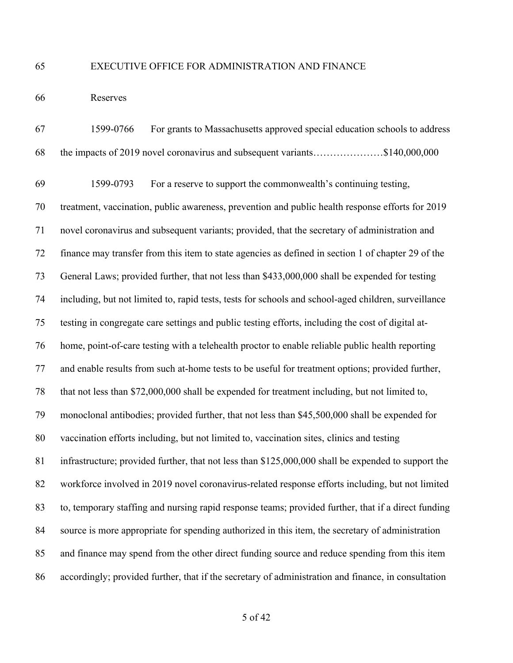#### EXECUTIVE OFFICE FOR ADMINISTRATION AND FINANCE

Reserves

 1599-0766 For grants to Massachusetts approved special education schools to address the impacts of 2019 novel coronavirus and subsequent variants…………………\$140,000,000

 1599-0793 For a reserve to support the commonwealth's continuing testing, treatment, vaccination, public awareness, prevention and public health response efforts for 2019 novel coronavirus and subsequent variants; provided, that the secretary of administration and finance may transfer from this item to state agencies as defined in section 1 of chapter 29 of the General Laws; provided further, that not less than \$433,000,000 shall be expended for testing including, but not limited to, rapid tests, tests for schools and school-aged children, surveillance testing in congregate care settings and public testing efforts, including the cost of digital at- home, point-of-care testing with a telehealth proctor to enable reliable public health reporting and enable results from such at-home tests to be useful for treatment options; provided further, that not less than \$72,000,000 shall be expended for treatment including, but not limited to, monoclonal antibodies; provided further, that not less than \$45,500,000 shall be expended for vaccination efforts including, but not limited to, vaccination sites, clinics and testing infrastructure; provided further, that not less than \$125,000,000 shall be expended to support the workforce involved in 2019 novel coronavirus-related response efforts including, but not limited to, temporary staffing and nursing rapid response teams; provided further, that if a direct funding source is more appropriate for spending authorized in this item, the secretary of administration and finance may spend from the other direct funding source and reduce spending from this item accordingly; provided further, that if the secretary of administration and finance, in consultation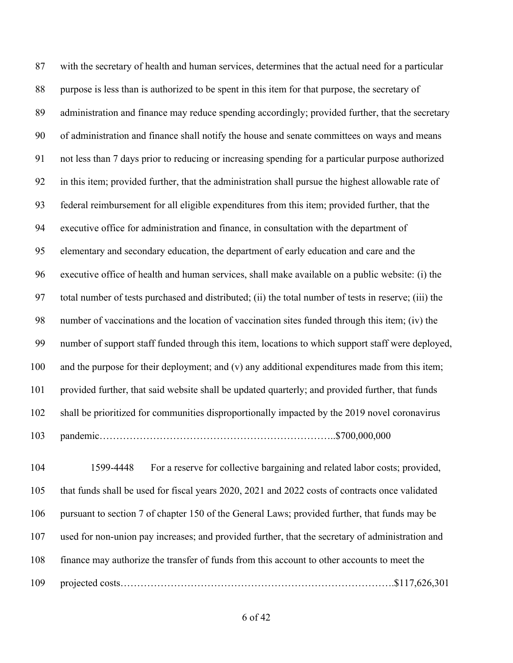with the secretary of health and human services, determines that the actual need for a particular purpose is less than is authorized to be spent in this item for that purpose, the secretary of administration and finance may reduce spending accordingly; provided further, that the secretary of administration and finance shall notify the house and senate committees on ways and means not less than 7 days prior to reducing or increasing spending for a particular purpose authorized in this item; provided further, that the administration shall pursue the highest allowable rate of federal reimbursement for all eligible expenditures from this item; provided further, that the executive office for administration and finance, in consultation with the department of elementary and secondary education, the department of early education and care and the executive office of health and human services, shall make available on a public website: (i) the total number of tests purchased and distributed; (ii) the total number of tests in reserve; (iii) the number of vaccinations and the location of vaccination sites funded through this item; (iv) the number of support staff funded through this item, locations to which support staff were deployed, and the purpose for their deployment; and (v) any additional expenditures made from this item; provided further, that said website shall be updated quarterly; and provided further, that funds shall be prioritized for communities disproportionally impacted by the 2019 novel coronavirus pandemic……………………………………………………………..\$700,000,000

 1599-4448 For a reserve for collective bargaining and related labor costs; provided, that funds shall be used for fiscal years 2020, 2021 and 2022 costs of contracts once validated pursuant to section 7 of chapter 150 of the General Laws; provided further, that funds may be used for non-union pay increases; and provided further, that the secretary of administration and finance may authorize the transfer of funds from this account to other accounts to meet the projected costs……………………………………………………………………….\$117,626,301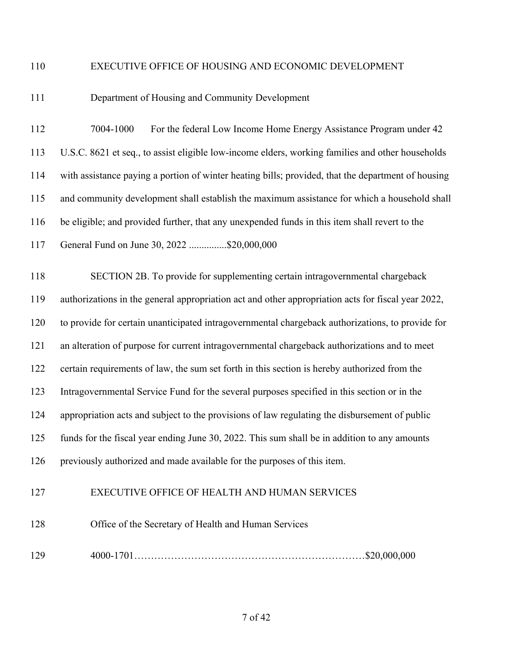### EXECUTIVE OFFICE OF HOUSING AND ECONOMIC DEVELOPMENT

## Department of Housing and Community Development

 7004-1000 For the federal Low Income Home Energy Assistance Program under 42 U.S.C. 8621 et seq., to assist eligible low-income elders, working families and other households with assistance paying a portion of winter heating bills; provided, that the department of housing and community development shall establish the maximum assistance for which a household shall be eligible; and provided further, that any unexpended funds in this item shall revert to the General Fund on June 30, 2022 ...............\$20,000,000

 SECTION 2B. To provide for supplementing certain intragovernmental chargeback authorizations in the general appropriation act and other appropriation acts for fiscal year 2022, to provide for certain unanticipated intragovernmental chargeback authorizations, to provide for an alteration of purpose for current intragovernmental chargeback authorizations and to meet certain requirements of law, the sum set forth in this section is hereby authorized from the Intragovernmental Service Fund for the several purposes specified in this section or in the appropriation acts and subject to the provisions of law regulating the disbursement of public funds for the fiscal year ending June 30, 2022. This sum shall be in addition to any amounts previously authorized and made available for the purposes of this item.

## EXECUTIVE OFFICE OF HEALTH AND HUMAN SERVICES

Office of the Secretary of Health and Human Services

4000-1701……………………………………………………………\$20,000,000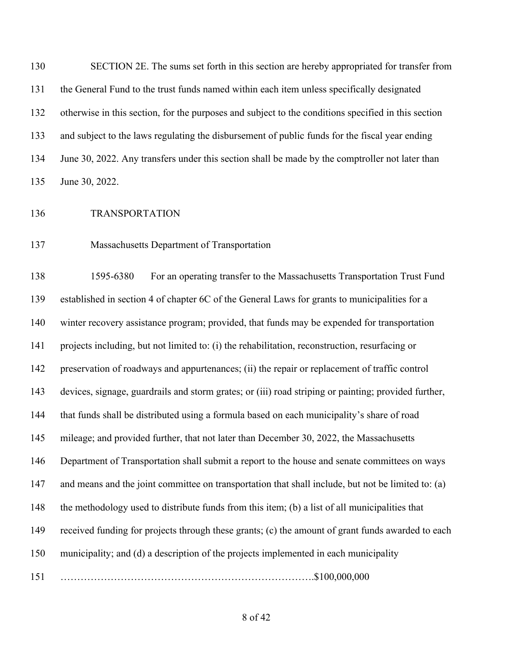SECTION 2E. The sums set forth in this section are hereby appropriated for transfer from the General Fund to the trust funds named within each item unless specifically designated otherwise in this section, for the purposes and subject to the conditions specified in this section and subject to the laws regulating the disbursement of public funds for the fiscal year ending 134 June 30, 2022. Any transfers under this section shall be made by the comptroller not later than June 30, 2022.

TRANSPORTATION

Massachusetts Department of Transportation

 1595-6380 For an operating transfer to the Massachusetts Transportation Trust Fund established in section 4 of chapter 6C of the General Laws for grants to municipalities for a winter recovery assistance program; provided, that funds may be expended for transportation projects including, but not limited to: (i) the rehabilitation, reconstruction, resurfacing or preservation of roadways and appurtenances; (ii) the repair or replacement of traffic control devices, signage, guardrails and storm grates; or (iii) road striping or painting; provided further, that funds shall be distributed using a formula based on each municipality's share of road mileage; and provided further, that not later than December 30, 2022, the Massachusetts Department of Transportation shall submit a report to the house and senate committees on ways and means and the joint committee on transportation that shall include, but not be limited to: (a) the methodology used to distribute funds from this item; (b) a list of all municipalities that received funding for projects through these grants; (c) the amount of grant funds awarded to each municipality; and (d) a description of the projects implemented in each municipality ………………………………………………………………….\$100,000,000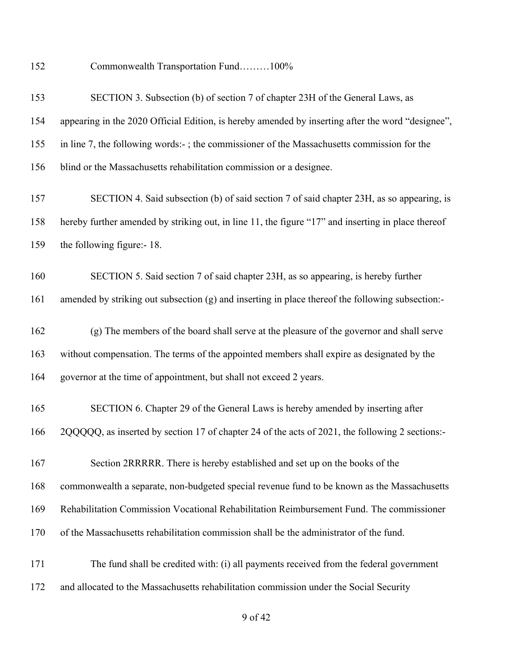Commonwealth Transportation Fund………100%

| 153 | SECTION 3. Subsection (b) of section 7 of chapter 23H of the General Laws, as                      |
|-----|----------------------------------------------------------------------------------------------------|
| 154 | appearing in the 2020 Official Edition, is hereby amended by inserting after the word "designee",  |
| 155 | in line 7, the following words:-; the commissioner of the Massachusetts commission for the         |
| 156 | blind or the Massachusetts rehabilitation commission or a designee.                                |
| 157 | SECTION 4. Said subsection (b) of said section 7 of said chapter 23H, as so appearing, is          |
| 158 | hereby further amended by striking out, in line 11, the figure "17" and inserting in place thereof |
| 159 | the following figure:-18.                                                                          |
| 160 | SECTION 5. Said section 7 of said chapter 23H, as so appearing, is hereby further                  |
| 161 | amended by striking out subsection (g) and inserting in place thereof the following subsection:-   |
| 162 | (g) The members of the board shall serve at the pleasure of the governor and shall serve           |
| 163 | without compensation. The terms of the appointed members shall expire as designated by the         |
| 164 | governor at the time of appointment, but shall not exceed 2 years.                                 |
| 165 | SECTION 6. Chapter 29 of the General Laws is hereby amended by inserting after                     |
| 166 | 2QQQQQ, as inserted by section 17 of chapter 24 of the acts of 2021, the following 2 sections:-    |
| 167 | Section 2RRRRR. There is hereby established and set up on the books of the                         |
| 168 | commonwealth a separate, non-budgeted special revenue fund to be known as the Massachusetts        |
| 169 | Rehabilitation Commission Vocational Rehabilitation Reimbursement Fund. The commissioner           |
| 170 | of the Massachusetts rehabilitation commission shall be the administrator of the fund.             |
| 171 | The fund shall be credited with: (i) all payments received from the federal government             |
| 172 | and allocated to the Massachusetts rehabilitation commission under the Social Security             |

## of 42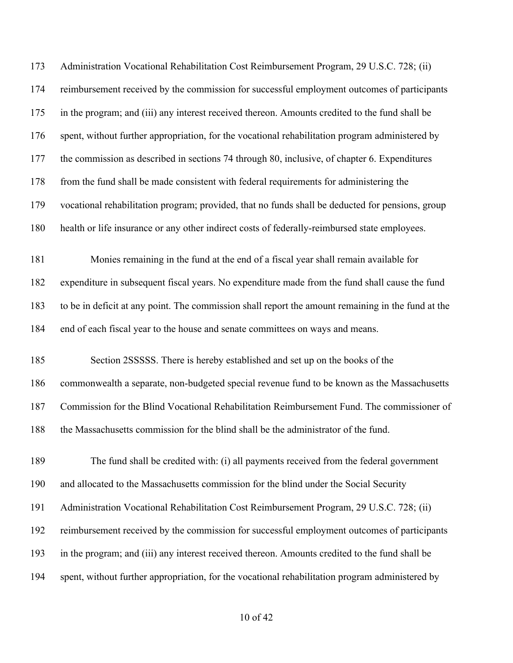Administration Vocational Rehabilitation Cost Reimbursement Program, 29 U.S.C. 728; (ii) reimbursement received by the commission for successful employment outcomes of participants in the program; and (iii) any interest received thereon. Amounts credited to the fund shall be spent, without further appropriation, for the vocational rehabilitation program administered by the commission as described in sections 74 through 80, inclusive, of chapter 6. Expenditures 178 from the fund shall be made consistent with federal requirements for administering the vocational rehabilitation program; provided, that no funds shall be deducted for pensions, group health or life insurance or any other indirect costs of federally-reimbursed state employees. Monies remaining in the fund at the end of a fiscal year shall remain available for expenditure in subsequent fiscal years. No expenditure made from the fund shall cause the fund to be in deficit at any point. The commission shall report the amount remaining in the fund at the end of each fiscal year to the house and senate committees on ways and means. Section 2SSSSS. There is hereby established and set up on the books of the commonwealth a separate, non-budgeted special revenue fund to be known as the Massachusetts Commission for the Blind Vocational Rehabilitation Reimbursement Fund. The commissioner of the Massachusetts commission for the blind shall be the administrator of the fund. The fund shall be credited with: (i) all payments received from the federal government and allocated to the Massachusetts commission for the blind under the Social Security Administration Vocational Rehabilitation Cost Reimbursement Program, 29 U.S.C. 728; (ii) reimbursement received by the commission for successful employment outcomes of participants in the program; and (iii) any interest received thereon. Amounts credited to the fund shall be spent, without further appropriation, for the vocational rehabilitation program administered by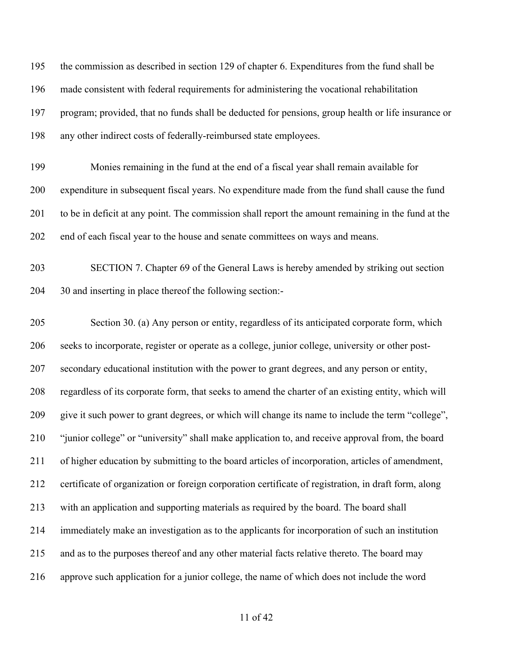the commission as described in section 129 of chapter 6. Expenditures from the fund shall be made consistent with federal requirements for administering the vocational rehabilitation program; provided, that no funds shall be deducted for pensions, group health or life insurance or any other indirect costs of federally-reimbursed state employees.

 Monies remaining in the fund at the end of a fiscal year shall remain available for expenditure in subsequent fiscal years. No expenditure made from the fund shall cause the fund to be in deficit at any point. The commission shall report the amount remaining in the fund at the end of each fiscal year to the house and senate committees on ways and means.

 SECTION 7. Chapter 69 of the General Laws is hereby amended by striking out section 30 and inserting in place thereof the following section:-

 Section 30. (a) Any person or entity, regardless of its anticipated corporate form, which seeks to incorporate, register or operate as a college, junior college, university or other post- secondary educational institution with the power to grant degrees, and any person or entity, regardless of its corporate form, that seeks to amend the charter of an existing entity, which will give it such power to grant degrees, or which will change its name to include the term "college", "junior college" or "university" shall make application to, and receive approval from, the board of higher education by submitting to the board articles of incorporation, articles of amendment, certificate of organization or foreign corporation certificate of registration, in draft form, along with an application and supporting materials as required by the board. The board shall immediately make an investigation as to the applicants for incorporation of such an institution and as to the purposes thereof and any other material facts relative thereto. The board may approve such application for a junior college, the name of which does not include the word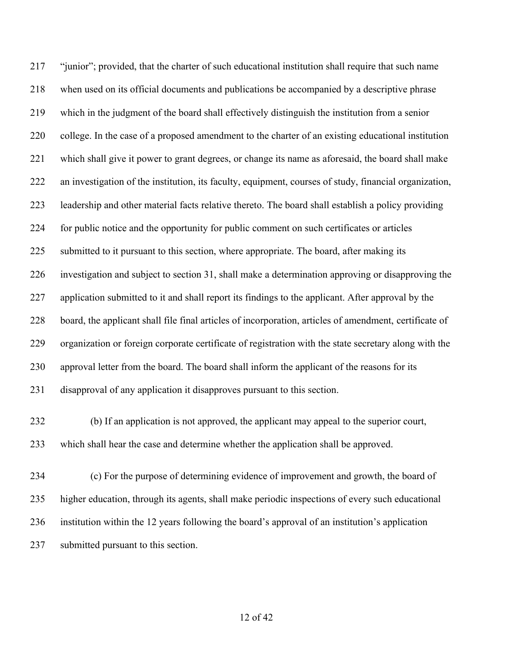"junior"; provided, that the charter of such educational institution shall require that such name when used on its official documents and publications be accompanied by a descriptive phrase which in the judgment of the board shall effectively distinguish the institution from a senior college. In the case of a proposed amendment to the charter of an existing educational institution which shall give it power to grant degrees, or change its name as aforesaid, the board shall make an investigation of the institution, its faculty, equipment, courses of study, financial organization, leadership and other material facts relative thereto. The board shall establish a policy providing for public notice and the opportunity for public comment on such certificates or articles 225 submitted to it pursuant to this section, where appropriate. The board, after making its investigation and subject to section 31, shall make a determination approving or disapproving the application submitted to it and shall report its findings to the applicant. After approval by the board, the applicant shall file final articles of incorporation, articles of amendment, certificate of organization or foreign corporate certificate of registration with the state secretary along with the approval letter from the board. The board shall inform the applicant of the reasons for its disapproval of any application it disapproves pursuant to this section.

- (b) If an application is not approved, the applicant may appeal to the superior court, which shall hear the case and determine whether the application shall be approved.
- (c) For the purpose of determining evidence of improvement and growth, the board of higher education, through its agents, shall make periodic inspections of every such educational institution within the 12 years following the board's approval of an institution's application submitted pursuant to this section.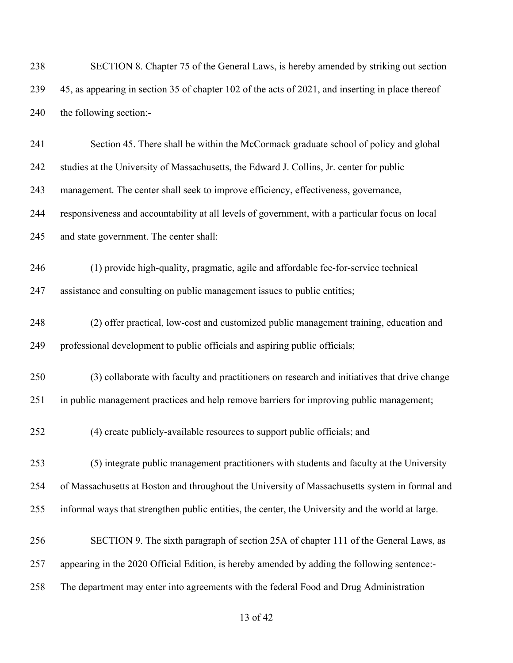| 238 | SECTION 8. Chapter 75 of the General Laws, is hereby amended by striking out section              |
|-----|---------------------------------------------------------------------------------------------------|
| 239 | 45, as appearing in section 35 of chapter 102 of the acts of 2021, and inserting in place thereof |
| 240 | the following section:-                                                                           |
| 241 | Section 45. There shall be within the McCormack graduate school of policy and global              |
| 242 | studies at the University of Massachusetts, the Edward J. Collins, Jr. center for public          |
| 243 | management. The center shall seek to improve efficiency, effectiveness, governance,               |
| 244 | responsiveness and accountability at all levels of government, with a particular focus on local   |
| 245 | and state government. The center shall:                                                           |
| 246 | (1) provide high-quality, pragmatic, agile and affordable fee-for-service technical               |
| 247 | assistance and consulting on public management issues to public entities;                         |
| 248 | (2) offer practical, low-cost and customized public management training, education and            |
| 249 | professional development to public officials and aspiring public officials;                       |
| 250 | (3) collaborate with faculty and practitioners on research and initiatives that drive change      |
| 251 | in public management practices and help remove barriers for improving public management;          |
| 252 | (4) create publicly-available resources to support public officials; and                          |
| 253 | (5) integrate public management practitioners with students and faculty at the University         |
| 254 | of Massachusetts at Boston and throughout the University of Massachusetts system in formal and    |
| 255 | informal ways that strengthen public entities, the center, the University and the world at large. |
| 256 | SECTION 9. The sixth paragraph of section 25A of chapter 111 of the General Laws, as              |
| 257 | appearing in the 2020 Official Edition, is hereby amended by adding the following sentence:-      |
| 258 | The department may enter into agreements with the federal Food and Drug Administration            |
|     |                                                                                                   |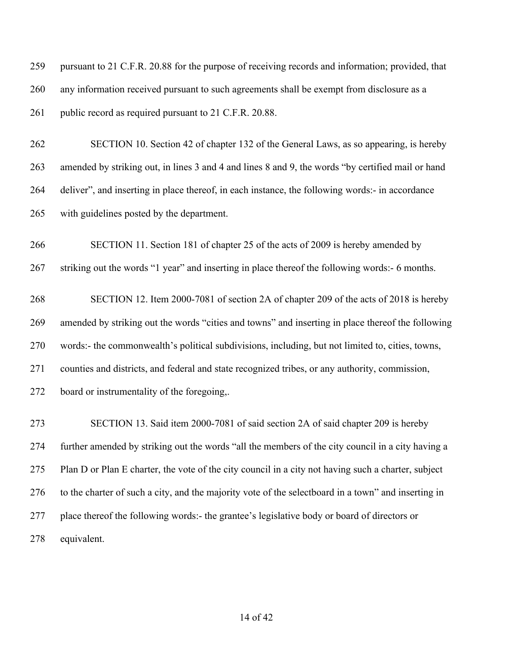pursuant to 21 C.F.R. 20.88 for the purpose of receiving records and information; provided, that any information received pursuant to such agreements shall be exempt from disclosure as a 261 public record as required pursuant to 21 C.F.R. 20.88.

 SECTION 10. Section 42 of chapter 132 of the General Laws, as so appearing, is hereby amended by striking out, in lines 3 and 4 and lines 8 and 9, the words "by certified mail or hand deliver", and inserting in place thereof, in each instance, the following words:- in accordance with guidelines posted by the department.

 SECTION 11. Section 181 of chapter 25 of the acts of 2009 is hereby amended by striking out the words "1 year" and inserting in place thereof the following words:- 6 months.

 SECTION 12. Item 2000-7081 of section 2A of chapter 209 of the acts of 2018 is hereby amended by striking out the words "cities and towns" and inserting in place thereof the following words:- the commonwealth's political subdivisions, including, but not limited to, cities, towns, counties and districts, and federal and state recognized tribes, or any authority, commission, board or instrumentality of the foregoing,.

 SECTION 13. Said item 2000-7081 of said section 2A of said chapter 209 is hereby further amended by striking out the words "all the members of the city council in a city having a Plan D or Plan E charter, the vote of the city council in a city not having such a charter, subject to the charter of such a city, and the majority vote of the selectboard in a town" and inserting in place thereof the following words:- the grantee's legislative body or board of directors or equivalent.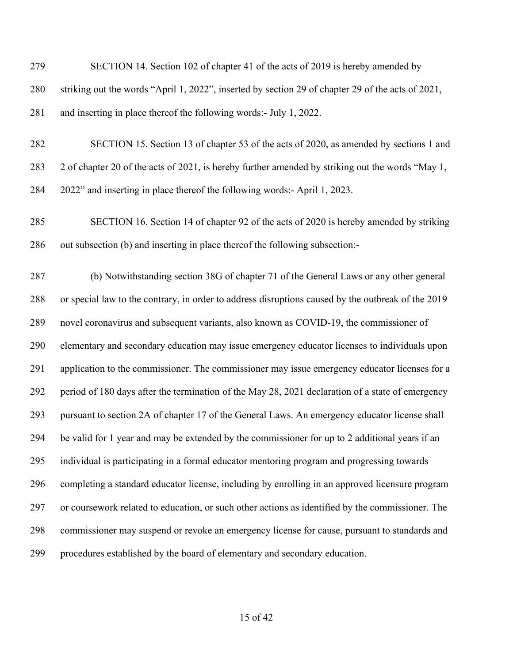| 279 | SECTION 14. Section 102 of chapter 41 of the acts of 2019 is hereby amended by                     |
|-----|----------------------------------------------------------------------------------------------------|
| 280 | striking out the words "April 1, 2022", inserted by section 29 of chapter 29 of the acts of 2021,  |
| 281 | and inserting in place thereof the following words:- July 1, 2022.                                 |
| 282 | SECTION 15. Section 13 of chapter 53 of the acts of 2020, as amended by sections 1 and             |
| 283 | 2 of chapter 20 of the acts of 2021, is hereby further amended by striking out the words "May 1,   |
| 284 | 2022" and inserting in place thereof the following words:- April 1, 2023.                          |
| 285 | SECTION 16. Section 14 of chapter 92 of the acts of 2020 is hereby amended by striking             |
| 286 | out subsection (b) and inserting in place thereof the following subsection:-                       |
| 287 | (b) Notwithstanding section 38G of chapter 71 of the General Laws or any other general             |
| 288 | or special law to the contrary, in order to address disruptions caused by the outbreak of the 2019 |
| 289 | novel coronavirus and subsequent variants, also known as COVID-19, the commissioner of             |
| 290 | elementary and secondary education may issue emergency educator licenses to individuals upon       |
| 291 | application to the commissioner. The commissioner may issue emergency educator licenses for a      |
| 292 | period of 180 days after the termination of the May 28, 2021 declaration of a state of emergency   |
| 293 | pursuant to section 2A of chapter 17 of the General Laws. An emergency educator license shall      |
| 294 | be valid for 1 year and may be extended by the commissioner for up to 2 additional years if an     |
| 295 | individual is participating in a formal educator mentoring program and progressing towards         |
| 296 | completing a standard educator license, including by enrolling in an approved licensure program    |
| 297 | or coursework related to education, or such other actions as identified by the commissioner. The   |
| 298 | commissioner may suspend or revoke an emergency license for cause, pursuant to standards and       |
| 299 | procedures established by the board of elementary and secondary education.                         |

## of 42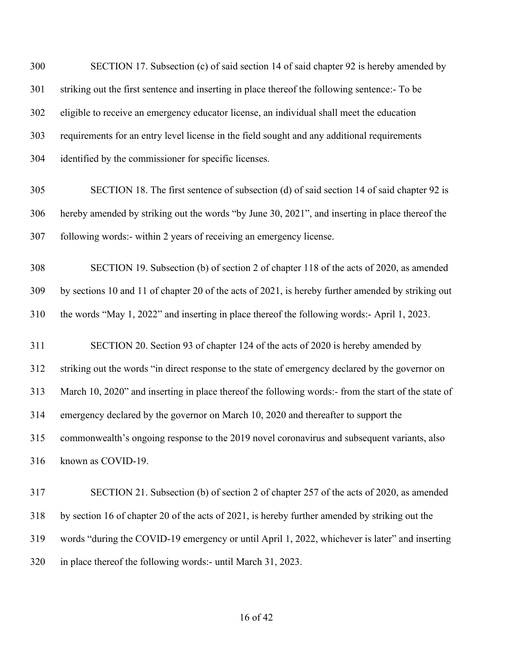SECTION 17. Subsection (c) of said section 14 of said chapter 92 is hereby amended by striking out the first sentence and inserting in place thereof the following sentence:- To be eligible to receive an emergency educator license, an individual shall meet the education requirements for an entry level license in the field sought and any additional requirements identified by the commissioner for specific licenses.

 SECTION 18. The first sentence of subsection (d) of said section 14 of said chapter 92 is hereby amended by striking out the words "by June 30, 2021", and inserting in place thereof the following words:- within 2 years of receiving an emergency license.

 SECTION 19. Subsection (b) of section 2 of chapter 118 of the acts of 2020, as amended by sections 10 and 11 of chapter 20 of the acts of 2021, is hereby further amended by striking out the words "May 1, 2022" and inserting in place thereof the following words:- April 1, 2023.

 SECTION 20. Section 93 of chapter 124 of the acts of 2020 is hereby amended by striking out the words "in direct response to the state of emergency declared by the governor on March 10, 2020" and inserting in place thereof the following words:- from the start of the state of emergency declared by the governor on March 10, 2020 and thereafter to support the commonwealth's ongoing response to the 2019 novel coronavirus and subsequent variants, also known as COVID-19.

 SECTION 21. Subsection (b) of section 2 of chapter 257 of the acts of 2020, as amended by section 16 of chapter 20 of the acts of 2021, is hereby further amended by striking out the words "during the COVID-19 emergency or until April 1, 2022, whichever is later" and inserting in place thereof the following words:- until March 31, 2023.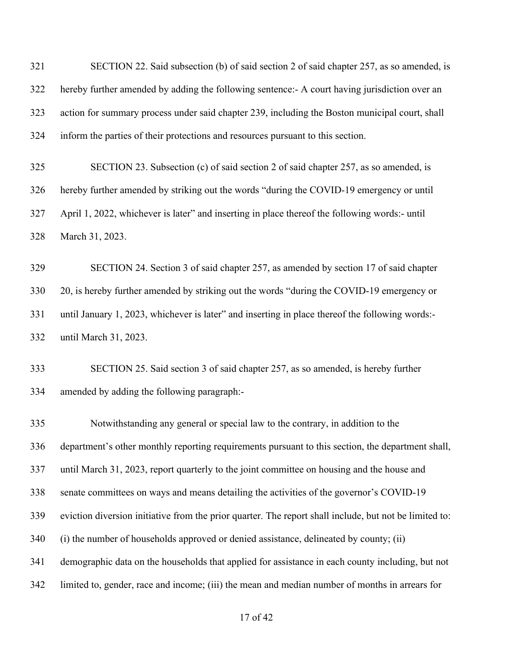SECTION 22. Said subsection (b) of said section 2 of said chapter 257, as so amended, is hereby further amended by adding the following sentence:- A court having jurisdiction over an action for summary process under said chapter 239, including the Boston municipal court, shall inform the parties of their protections and resources pursuant to this section.

 SECTION 23. Subsection (c) of said section 2 of said chapter 257, as so amended, is hereby further amended by striking out the words "during the COVID-19 emergency or until April 1, 2022, whichever is later" and inserting in place thereof the following words:- until March 31, 2023.

 SECTION 24. Section 3 of said chapter 257, as amended by section 17 of said chapter 20, is hereby further amended by striking out the words "during the COVID-19 emergency or until January 1, 2023, whichever is later" and inserting in place thereof the following words:- until March 31, 2023.

 SECTION 25. Said section 3 of said chapter 257, as so amended, is hereby further amended by adding the following paragraph:-

 Notwithstanding any general or special law to the contrary, in addition to the department's other monthly reporting requirements pursuant to this section, the department shall, until March 31, 2023, report quarterly to the joint committee on housing and the house and senate committees on ways and means detailing the activities of the governor's COVID-19 eviction diversion initiative from the prior quarter. The report shall include, but not be limited to: (i) the number of households approved or denied assistance, delineated by county; (ii) demographic data on the households that applied for assistance in each county including, but not limited to, gender, race and income; (iii) the mean and median number of months in arrears for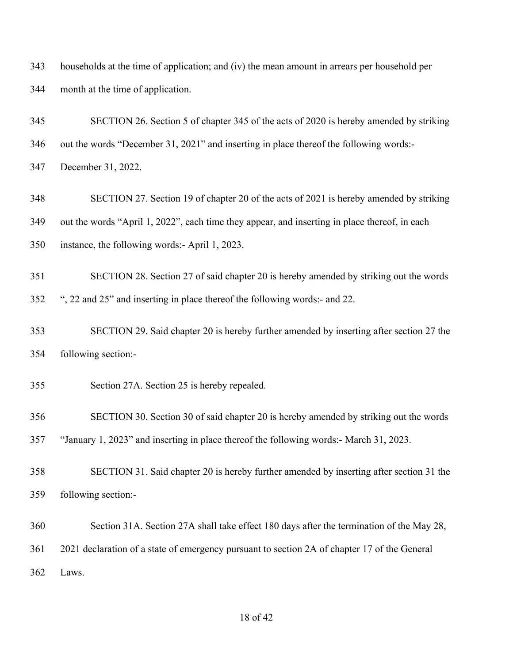households at the time of application; and (iv) the mean amount in arrears per household per month at the time of application.

 SECTION 26. Section 5 of chapter 345 of the acts of 2020 is hereby amended by striking out the words "December 31, 2021" and inserting in place thereof the following words:- December 31, 2022.

 SECTION 27. Section 19 of chapter 20 of the acts of 2021 is hereby amended by striking out the words "April 1, 2022", each time they appear, and inserting in place thereof, in each instance, the following words:- April 1, 2023.

 SECTION 28. Section 27 of said chapter 20 is hereby amended by striking out the words ", 22 and 25" and inserting in place thereof the following words:- and 22.

 SECTION 29. Said chapter 20 is hereby further amended by inserting after section 27 the following section:-

Section 27A. Section 25 is hereby repealed.

SECTION 30. Section 30 of said chapter 20 is hereby amended by striking out the words

"January 1, 2023" and inserting in place thereof the following words:- March 31, 2023.

- SECTION 31. Said chapter 20 is hereby further amended by inserting after section 31 the following section:-
- Section 31A. Section 27A shall take effect 180 days after the termination of the May 28,

2021 declaration of a state of emergency pursuant to section 2A of chapter 17 of the General

Laws.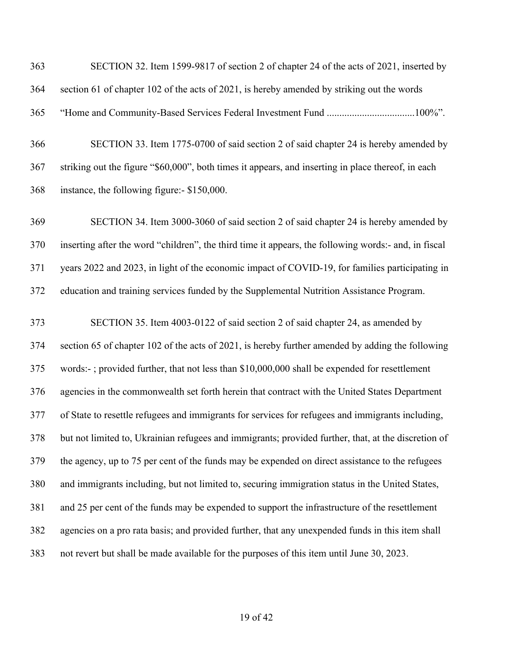SECTION 32. Item 1599-9817 of section 2 of chapter 24 of the acts of 2021, inserted by section 61 of chapter 102 of the acts of 2021, is hereby amended by striking out the words "Home and Community-Based Services Federal Investment Fund ...................................100%".

 SECTION 33. Item 1775-0700 of said section 2 of said chapter 24 is hereby amended by striking out the figure "\$60,000", both times it appears, and inserting in place thereof, in each instance, the following figure:- \$150,000.

 SECTION 34. Item 3000-3060 of said section 2 of said chapter 24 is hereby amended by inserting after the word "children", the third time it appears, the following words:- and, in fiscal years 2022 and 2023, in light of the economic impact of COVID-19, for families participating in education and training services funded by the Supplemental Nutrition Assistance Program.

 SECTION 35. Item 4003-0122 of said section 2 of said chapter 24, as amended by section 65 of chapter 102 of the acts of 2021, is hereby further amended by adding the following words:- ; provided further, that not less than \$10,000,000 shall be expended for resettlement agencies in the commonwealth set forth herein that contract with the United States Department of State to resettle refugees and immigrants for services for refugees and immigrants including, but not limited to, Ukrainian refugees and immigrants; provided further, that, at the discretion of the agency, up to 75 per cent of the funds may be expended on direct assistance to the refugees and immigrants including, but not limited to, securing immigration status in the United States, and 25 per cent of the funds may be expended to support the infrastructure of the resettlement agencies on a pro rata basis; and provided further, that any unexpended funds in this item shall not revert but shall be made available for the purposes of this item until June 30, 2023.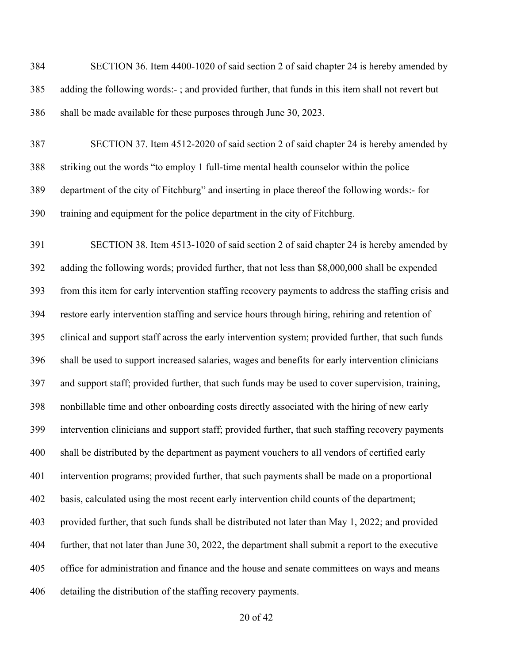SECTION 36. Item 4400-1020 of said section 2 of said chapter 24 is hereby amended by adding the following words:- ; and provided further, that funds in this item shall not revert but shall be made available for these purposes through June 30, 2023. SECTION 37. Item 4512-2020 of said section 2 of said chapter 24 is hereby amended by striking out the words "to employ 1 full-time mental health counselor within the police department of the city of Fitchburg" and inserting in place thereof the following words:- for training and equipment for the police department in the city of Fitchburg. SECTION 38. Item 4513-1020 of said section 2 of said chapter 24 is hereby amended by adding the following words; provided further, that not less than \$8,000,000 shall be expended from this item for early intervention staffing recovery payments to address the staffing crisis and restore early intervention staffing and service hours through hiring, rehiring and retention of clinical and support staff across the early intervention system; provided further, that such funds shall be used to support increased salaries, wages and benefits for early intervention clinicians and support staff; provided further, that such funds may be used to cover supervision, training, nonbillable time and other onboarding costs directly associated with the hiring of new early intervention clinicians and support staff; provided further, that such staffing recovery payments shall be distributed by the department as payment vouchers to all vendors of certified early intervention programs; provided further, that such payments shall be made on a proportional basis, calculated using the most recent early intervention child counts of the department; provided further, that such funds shall be distributed not later than May 1, 2022; and provided further, that not later than June 30, 2022, the department shall submit a report to the executive office for administration and finance and the house and senate committees on ways and means detailing the distribution of the staffing recovery payments.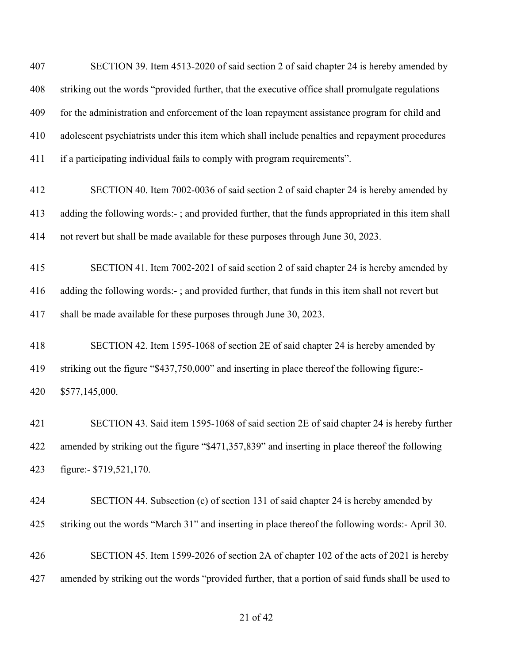SECTION 39. Item 4513-2020 of said section 2 of said chapter 24 is hereby amended by striking out the words "provided further, that the executive office shall promulgate regulations for the administration and enforcement of the loan repayment assistance program for child and adolescent psychiatrists under this item which shall include penalties and repayment procedures if a participating individual fails to comply with program requirements".

- SECTION 40. Item 7002-0036 of said section 2 of said chapter 24 is hereby amended by adding the following words:- ; and provided further, that the funds appropriated in this item shall not revert but shall be made available for these purposes through June 30, 2023.
- SECTION 41. Item 7002-2021 of said section 2 of said chapter 24 is hereby amended by adding the following words:- ; and provided further, that funds in this item shall not revert but shall be made available for these purposes through June 30, 2023.
- SECTION 42. Item 1595-1068 of section 2E of said chapter 24 is hereby amended by striking out the figure "\$437,750,000" and inserting in place thereof the following figure:- \$577,145,000.

 SECTION 43. Said item 1595-1068 of said section 2E of said chapter 24 is hereby further amended by striking out the figure "\$471,357,839" and inserting in place thereof the following figure:- \$719,521,170.

- SECTION 44. Subsection (c) of section 131 of said chapter 24 is hereby amended by striking out the words "March 31" and inserting in place thereof the following words:- April 30.
- SECTION 45. Item 1599-2026 of section 2A of chapter 102 of the acts of 2021 is hereby amended by striking out the words "provided further, that a portion of said funds shall be used to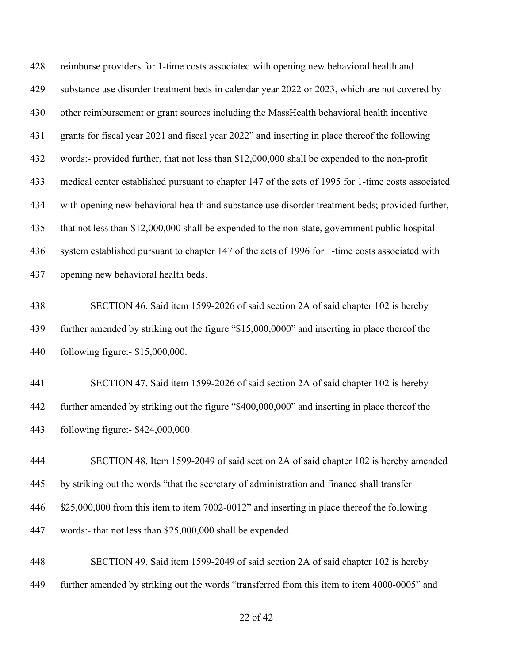reimburse providers for 1-time costs associated with opening new behavioral health and substance use disorder treatment beds in calendar year 2022 or 2023, which are not covered by other reimbursement or grant sources including the MassHealth behavioral health incentive grants for fiscal year 2021 and fiscal year 2022" and inserting in place thereof the following words:- provided further, that not less than \$12,000,000 shall be expended to the non-profit medical center established pursuant to chapter 147 of the acts of 1995 for 1-time costs associated with opening new behavioral health and substance use disorder treatment beds; provided further, that not less than \$12,000,000 shall be expended to the non-state, government public hospital system established pursuant to chapter 147 of the acts of 1996 for 1-time costs associated with opening new behavioral health beds.

 SECTION 46. Said item 1599-2026 of said section 2A of said chapter 102 is hereby further amended by striking out the figure "\$15,000,0000" and inserting in place thereof the following figure:- \$15,000,000.

 SECTION 47. Said item 1599-2026 of said section 2A of said chapter 102 is hereby further amended by striking out the figure "\$400,000,000" and inserting in place thereof the following figure:- \$424,000,000.

 SECTION 48. Item 1599-2049 of said section 2A of said chapter 102 is hereby amended by striking out the words "that the secretary of administration and finance shall transfer \$25,000,000 from this item to item 7002-0012" and inserting in place thereof the following words:- that not less than \$25,000,000 shall be expended.

 SECTION 49. Said item 1599-2049 of said section 2A of said chapter 102 is hereby further amended by striking out the words "transferred from this item to item 4000-0005" and

## of 42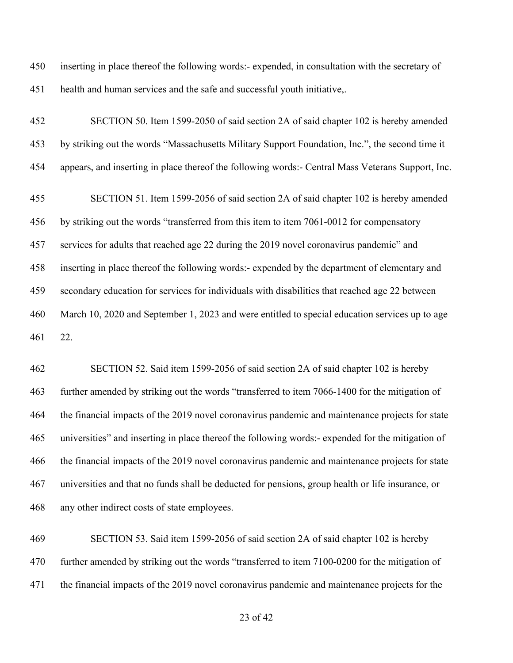inserting in place thereof the following words:- expended, in consultation with the secretary of health and human services and the safe and successful youth initiative,.

 SECTION 50. Item 1599-2050 of said section 2A of said chapter 102 is hereby amended by striking out the words "Massachusetts Military Support Foundation, Inc.", the second time it appears, and inserting in place thereof the following words:- Central Mass Veterans Support, Inc.

 SECTION 51. Item 1599-2056 of said section 2A of said chapter 102 is hereby amended by striking out the words "transferred from this item to item 7061-0012 for compensatory services for adults that reached age 22 during the 2019 novel coronavirus pandemic" and inserting in place thereof the following words:- expended by the department of elementary and secondary education for services for individuals with disabilities that reached age 22 between March 10, 2020 and September 1, 2023 and were entitled to special education services up to age 22.

 SECTION 52. Said item 1599-2056 of said section 2A of said chapter 102 is hereby further amended by striking out the words "transferred to item 7066-1400 for the mitigation of the financial impacts of the 2019 novel coronavirus pandemic and maintenance projects for state universities" and inserting in place thereof the following words:- expended for the mitigation of the financial impacts of the 2019 novel coronavirus pandemic and maintenance projects for state universities and that no funds shall be deducted for pensions, group health or life insurance, or any other indirect costs of state employees.

 SECTION 53. Said item 1599-2056 of said section 2A of said chapter 102 is hereby 470 further amended by striking out the words "transferred to item 7100-0200 for the mitigation of the financial impacts of the 2019 novel coronavirus pandemic and maintenance projects for the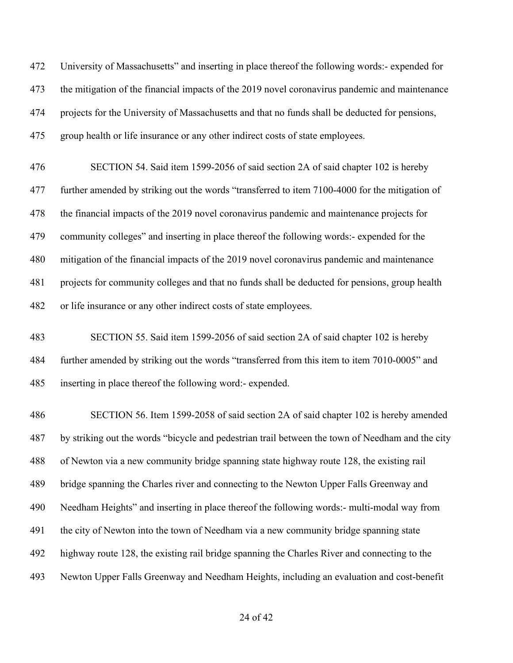University of Massachusetts" and inserting in place thereof the following words:- expended for the mitigation of the financial impacts of the 2019 novel coronavirus pandemic and maintenance projects for the University of Massachusetts and that no funds shall be deducted for pensions, group health or life insurance or any other indirect costs of state employees.

 SECTION 54. Said item 1599-2056 of said section 2A of said chapter 102 is hereby further amended by striking out the words "transferred to item 7100-4000 for the mitigation of the financial impacts of the 2019 novel coronavirus pandemic and maintenance projects for community colleges" and inserting in place thereof the following words:- expended for the mitigation of the financial impacts of the 2019 novel coronavirus pandemic and maintenance projects for community colleges and that no funds shall be deducted for pensions, group health or life insurance or any other indirect costs of state employees.

 SECTION 55. Said item 1599-2056 of said section 2A of said chapter 102 is hereby further amended by striking out the words "transferred from this item to item 7010-0005" and inserting in place thereof the following word:- expended.

 SECTION 56. Item 1599-2058 of said section 2A of said chapter 102 is hereby amended by striking out the words "bicycle and pedestrian trail between the town of Needham and the city of Newton via a new community bridge spanning state highway route 128, the existing rail bridge spanning the Charles river and connecting to the Newton Upper Falls Greenway and Needham Heights" and inserting in place thereof the following words:- multi-modal way from the city of Newton into the town of Needham via a new community bridge spanning state highway route 128, the existing rail bridge spanning the Charles River and connecting to the Newton Upper Falls Greenway and Needham Heights, including an evaluation and cost-benefit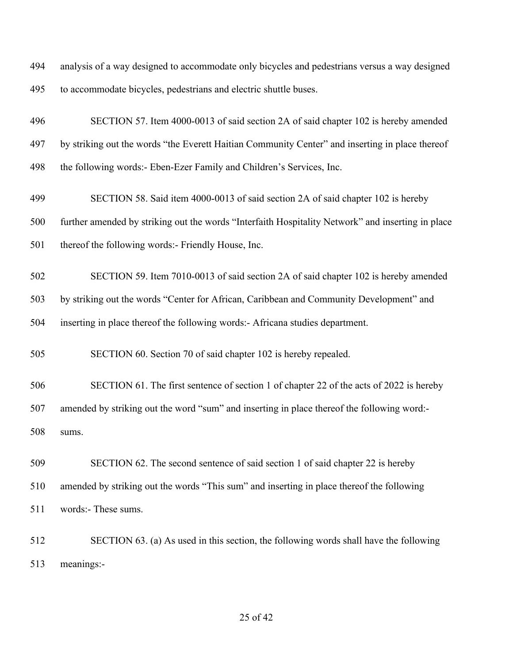analysis of a way designed to accommodate only bicycles and pedestrians versus a way designed to accommodate bicycles, pedestrians and electric shuttle buses.

 SECTION 57. Item 4000-0013 of said section 2A of said chapter 102 is hereby amended by striking out the words "the Everett Haitian Community Center" and inserting in place thereof the following words:- Eben-Ezer Family and Children's Services, Inc.

 SECTION 58. Said item 4000-0013 of said section 2A of said chapter 102 is hereby further amended by striking out the words "Interfaith Hospitality Network" and inserting in place thereof the following words:- Friendly House, Inc.

 SECTION 59. Item 7010-0013 of said section 2A of said chapter 102 is hereby amended by striking out the words "Center for African, Caribbean and Community Development" and inserting in place thereof the following words:- Africana studies department.

SECTION 60. Section 70 of said chapter 102 is hereby repealed.

 SECTION 61. The first sentence of section 1 of chapter 22 of the acts of 2022 is hereby amended by striking out the word "sum" and inserting in place thereof the following word:- sums.

 SECTION 62. The second sentence of said section 1 of said chapter 22 is hereby amended by striking out the words "This sum" and inserting in place thereof the following words:- These sums.

 SECTION 63. (a) As used in this section, the following words shall have the following meanings:-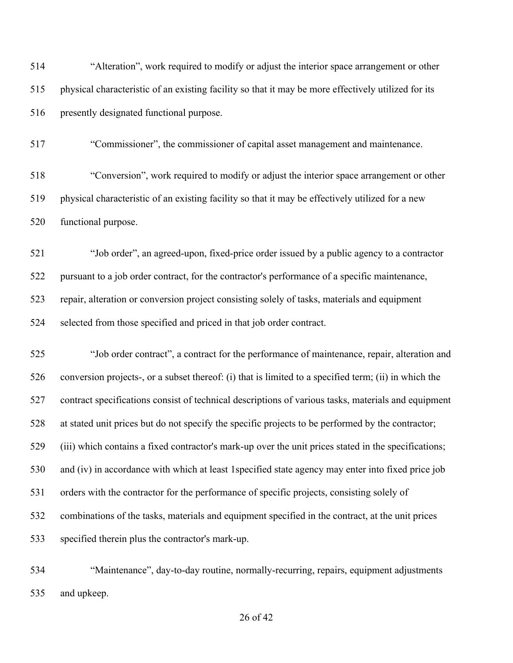| 514 | "Alteration", work required to modify or adjust the interior space arrangement or other             |
|-----|-----------------------------------------------------------------------------------------------------|
| 515 | physical characteristic of an existing facility so that it may be more effectively utilized for its |
| 516 | presently designated functional purpose.                                                            |

"Commissioner", the commissioner of capital asset management and maintenance.

 "Conversion", work required to modify or adjust the interior space arrangement or other physical characteristic of an existing facility so that it may be effectively utilized for a new functional purpose.

 "Job order", an agreed-upon, fixed-price order issued by a public agency to a contractor pursuant to a job order contract, for the contractor's performance of a specific maintenance, repair, alteration or conversion project consisting solely of tasks, materials and equipment selected from those specified and priced in that job order contract.

 "Job order contract", a contract for the performance of maintenance, repair, alteration and conversion projects-, or a subset thereof: (i) that is limited to a specified term; (ii) in which the contract specifications consist of technical descriptions of various tasks, materials and equipment at stated unit prices but do not specify the specific projects to be performed by the contractor; (iii) which contains a fixed contractor's mark-up over the unit prices stated in the specifications; and (iv) in accordance with which at least 1specified state agency may enter into fixed price job orders with the contractor for the performance of specific projects, consisting solely of combinations of the tasks, materials and equipment specified in the contract, at the unit prices specified therein plus the contractor's mark-up.

 "Maintenance", day-to-day routine, normally-recurring, repairs, equipment adjustments and upkeep.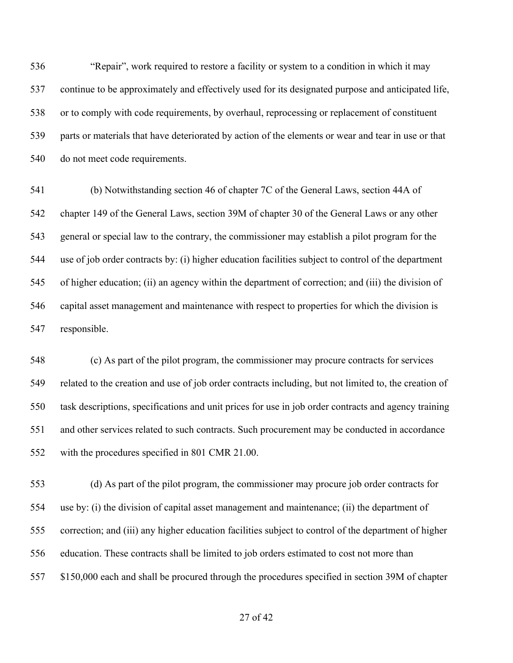"Repair", work required to restore a facility or system to a condition in which it may continue to be approximately and effectively used for its designated purpose and anticipated life, or to comply with code requirements, by overhaul, reprocessing or replacement of constituent parts or materials that have deteriorated by action of the elements or wear and tear in use or that do not meet code requirements.

 (b) Notwithstanding section 46 of chapter 7C of the General Laws, section 44A of chapter 149 of the General Laws, section 39M of chapter 30 of the General Laws or any other general or special law to the contrary, the commissioner may establish a pilot program for the use of job order contracts by: (i) higher education facilities subject to control of the department of higher education; (ii) an agency within the department of correction; and (iii) the division of capital asset management and maintenance with respect to properties for which the division is responsible.

 (c) As part of the pilot program, the commissioner may procure contracts for services related to the creation and use of job order contracts including, but not limited to, the creation of task descriptions, specifications and unit prices for use in job order contracts and agency training and other services related to such contracts. Such procurement may be conducted in accordance with the procedures specified in 801 CMR 21.00.

 (d) As part of the pilot program, the commissioner may procure job order contracts for use by: (i) the division of capital asset management and maintenance; (ii) the department of correction; and (iii) any higher education facilities subject to control of the department of higher education. These contracts shall be limited to job orders estimated to cost not more than \$150,000 each and shall be procured through the procedures specified in section 39M of chapter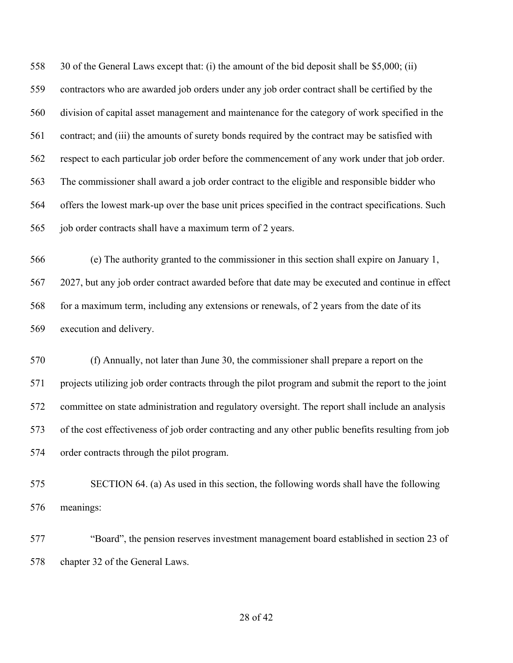30 of the General Laws except that: (i) the amount of the bid deposit shall be \$5,000; (ii) contractors who are awarded job orders under any job order contract shall be certified by the division of capital asset management and maintenance for the category of work specified in the contract; and (iii) the amounts of surety bonds required by the contract may be satisfied with respect to each particular job order before the commencement of any work under that job order. The commissioner shall award a job order contract to the eligible and responsible bidder who offers the lowest mark-up over the base unit prices specified in the contract specifications. Such job order contracts shall have a maximum term of 2 years.

 (e) The authority granted to the commissioner in this section shall expire on January 1, 2027, but any job order contract awarded before that date may be executed and continue in effect 568 for a maximum term, including any extensions or renewals, of 2 years from the date of its execution and delivery.

 (f) Annually, not later than June 30, the commissioner shall prepare a report on the projects utilizing job order contracts through the pilot program and submit the report to the joint committee on state administration and regulatory oversight. The report shall include an analysis of the cost effectiveness of job order contracting and any other public benefits resulting from job order contracts through the pilot program.

 SECTION 64. (a) As used in this section, the following words shall have the following meanings:

 "Board", the pension reserves investment management board established in section 23 of chapter 32 of the General Laws.

#### of 42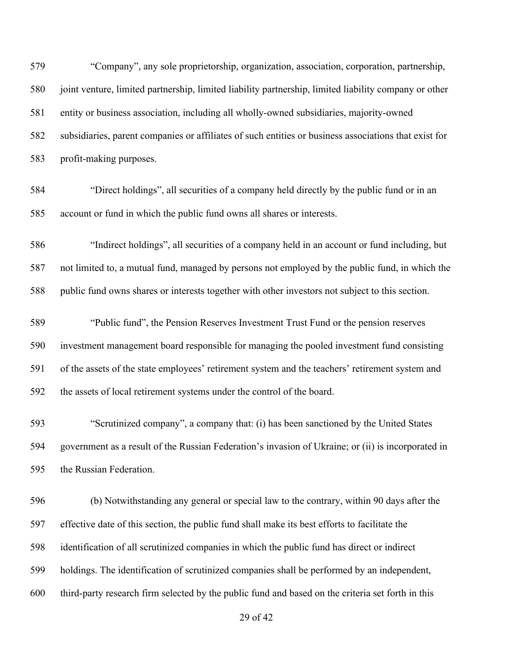"Company", any sole proprietorship, organization, association, corporation, partnership, joint venture, limited partnership, limited liability partnership, limited liability company or other entity or business association, including all wholly-owned subsidiaries, majority-owned subsidiaries, parent companies or affiliates of such entities or business associations that exist for profit-making purposes.

 "Direct holdings", all securities of a company held directly by the public fund or in an account or fund in which the public fund owns all shares or interests.

 "Indirect holdings", all securities of a company held in an account or fund including, but not limited to, a mutual fund, managed by persons not employed by the public fund, in which the public fund owns shares or interests together with other investors not subject to this section.

 "Public fund", the Pension Reserves Investment Trust Fund or the pension reserves investment management board responsible for managing the pooled investment fund consisting of the assets of the state employees' retirement system and the teachers' retirement system and the assets of local retirement systems under the control of the board.

 "Scrutinized company", a company that: (i) has been sanctioned by the United States government as a result of the Russian Federation's invasion of Ukraine; or (ii) is incorporated in the Russian Federation.

 (b) Notwithstanding any general or special law to the contrary, within 90 days after the effective date of this section, the public fund shall make its best efforts to facilitate the identification of all scrutinized companies in which the public fund has direct or indirect holdings. The identification of scrutinized companies shall be performed by an independent, third-party research firm selected by the public fund and based on the criteria set forth in this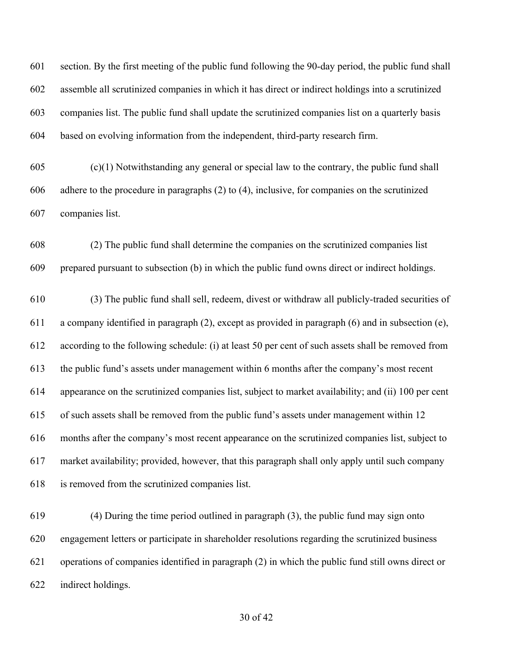section. By the first meeting of the public fund following the 90-day period, the public fund shall assemble all scrutinized companies in which it has direct or indirect holdings into a scrutinized companies list. The public fund shall update the scrutinized companies list on a quarterly basis based on evolving information from the independent, third-party research firm.

 (c)(1) Notwithstanding any general or special law to the contrary, the public fund shall adhere to the procedure in paragraphs (2) to (4), inclusive, for companies on the scrutinized companies list.

 (2) The public fund shall determine the companies on the scrutinized companies list prepared pursuant to subsection (b) in which the public fund owns direct or indirect holdings.

 (3) The public fund shall sell, redeem, divest or withdraw all publicly-traded securities of a company identified in paragraph (2), except as provided in paragraph (6) and in subsection (e), according to the following schedule: (i) at least 50 per cent of such assets shall be removed from the public fund's assets under management within 6 months after the company's most recent appearance on the scrutinized companies list, subject to market availability; and (ii) 100 per cent of such assets shall be removed from the public fund's assets under management within 12 months after the company's most recent appearance on the scrutinized companies list, subject to market availability; provided, however, that this paragraph shall only apply until such company is removed from the scrutinized companies list.

 (4) During the time period outlined in paragraph (3), the public fund may sign onto engagement letters or participate in shareholder resolutions regarding the scrutinized business operations of companies identified in paragraph (2) in which the public fund still owns direct or indirect holdings.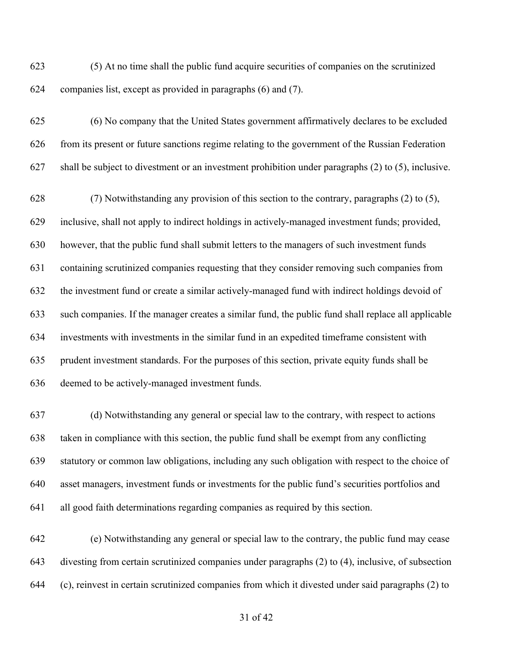(5) At no time shall the public fund acquire securities of companies on the scrutinized companies list, except as provided in paragraphs (6) and (7).

 (6) No company that the United States government affirmatively declares to be excluded from its present or future sanctions regime relating to the government of the Russian Federation shall be subject to divestment or an investment prohibition under paragraphs (2) to (5), inclusive.

 (7) Notwithstanding any provision of this section to the contrary, paragraphs (2) to (5), inclusive, shall not apply to indirect holdings in actively-managed investment funds; provided, however, that the public fund shall submit letters to the managers of such investment funds containing scrutinized companies requesting that they consider removing such companies from the investment fund or create a similar actively-managed fund with indirect holdings devoid of such companies. If the manager creates a similar fund, the public fund shall replace all applicable investments with investments in the similar fund in an expedited timeframe consistent with prudent investment standards. For the purposes of this section, private equity funds shall be deemed to be actively-managed investment funds.

 (d) Notwithstanding any general or special law to the contrary, with respect to actions taken in compliance with this section, the public fund shall be exempt from any conflicting statutory or common law obligations, including any such obligation with respect to the choice of asset managers, investment funds or investments for the public fund's securities portfolios and all good faith determinations regarding companies as required by this section.

 (e) Notwithstanding any general or special law to the contrary, the public fund may cease divesting from certain scrutinized companies under paragraphs (2) to (4), inclusive, of subsection (c), reinvest in certain scrutinized companies from which it divested under said paragraphs (2) to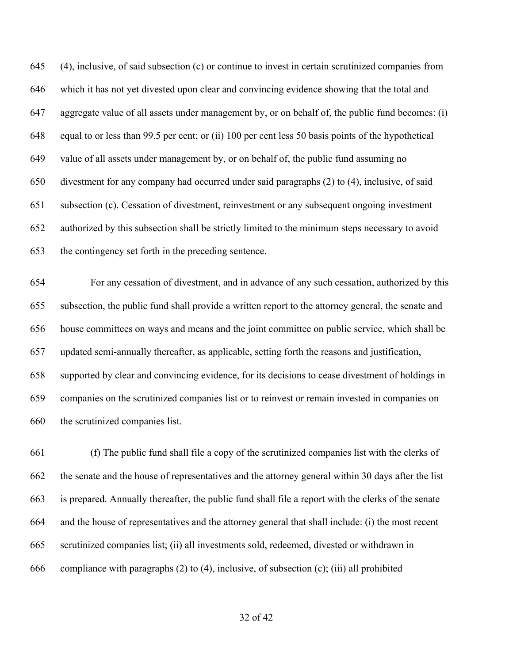(4), inclusive, of said subsection (c) or continue to invest in certain scrutinized companies from which it has not yet divested upon clear and convincing evidence showing that the total and aggregate value of all assets under management by, or on behalf of, the public fund becomes: (i) equal to or less than 99.5 per cent; or (ii) 100 per cent less 50 basis points of the hypothetical value of all assets under management by, or on behalf of, the public fund assuming no divestment for any company had occurred under said paragraphs (2) to (4), inclusive, of said subsection (c). Cessation of divestment, reinvestment or any subsequent ongoing investment authorized by this subsection shall be strictly limited to the minimum steps necessary to avoid the contingency set forth in the preceding sentence.

 For any cessation of divestment, and in advance of any such cessation, authorized by this subsection, the public fund shall provide a written report to the attorney general, the senate and house committees on ways and means and the joint committee on public service, which shall be updated semi-annually thereafter, as applicable, setting forth the reasons and justification, supported by clear and convincing evidence, for its decisions to cease divestment of holdings in companies on the scrutinized companies list or to reinvest or remain invested in companies on the scrutinized companies list.

 (f) The public fund shall file a copy of the scrutinized companies list with the clerks of the senate and the house of representatives and the attorney general within 30 days after the list is prepared. Annually thereafter, the public fund shall file a report with the clerks of the senate and the house of representatives and the attorney general that shall include: (i) the most recent scrutinized companies list; (ii) all investments sold, redeemed, divested or withdrawn in compliance with paragraphs (2) to (4), inclusive, of subsection (c); (iii) all prohibited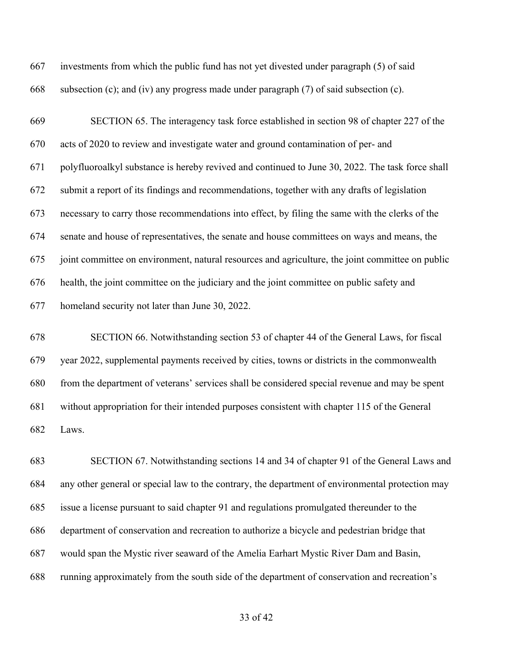investments from which the public fund has not yet divested under paragraph (5) of said subsection (c); and (iv) any progress made under paragraph (7) of said subsection (c).

 SECTION 65. The interagency task force established in section 98 of chapter 227 of the acts of 2020 to review and investigate water and ground contamination of per- and polyfluoroalkyl substance is hereby revived and continued to June 30, 2022. The task force shall submit a report of its findings and recommendations, together with any drafts of legislation necessary to carry those recommendations into effect, by filing the same with the clerks of the senate and house of representatives, the senate and house committees on ways and means, the joint committee on environment, natural resources and agriculture, the joint committee on public health, the joint committee on the judiciary and the joint committee on public safety and homeland security not later than June 30, 2022.

 SECTION 66. Notwithstanding section 53 of chapter 44 of the General Laws, for fiscal year 2022, supplemental payments received by cities, towns or districts in the commonwealth from the department of veterans' services shall be considered special revenue and may be spent without appropriation for their intended purposes consistent with chapter 115 of the General Laws.

 SECTION 67. Notwithstanding sections 14 and 34 of chapter 91 of the General Laws and any other general or special law to the contrary, the department of environmental protection may issue a license pursuant to said chapter 91 and regulations promulgated thereunder to the department of conservation and recreation to authorize a bicycle and pedestrian bridge that would span the Mystic river seaward of the Amelia Earhart Mystic River Dam and Basin, running approximately from the south side of the department of conservation and recreation's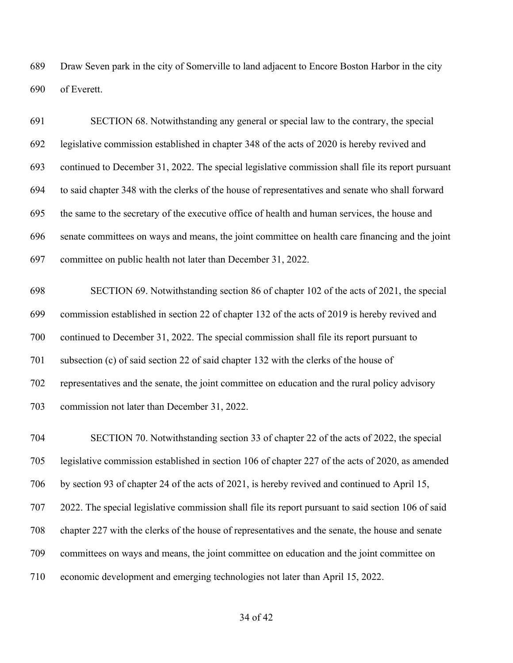Draw Seven park in the city of Somerville to land adjacent to Encore Boston Harbor in the city of Everett.

 SECTION 68. Notwithstanding any general or special law to the contrary, the special legislative commission established in chapter 348 of the acts of 2020 is hereby revived and continued to December 31, 2022. The special legislative commission shall file its report pursuant to said chapter 348 with the clerks of the house of representatives and senate who shall forward the same to the secretary of the executive office of health and human services, the house and senate committees on ways and means, the joint committee on health care financing and the joint committee on public health not later than December 31, 2022.

 SECTION 69. Notwithstanding section 86 of chapter 102 of the acts of 2021, the special commission established in section 22 of chapter 132 of the acts of 2019 is hereby revived and continued to December 31, 2022. The special commission shall file its report pursuant to subsection (c) of said section 22 of said chapter 132 with the clerks of the house of representatives and the senate, the joint committee on education and the rural policy advisory commission not later than December 31, 2022.

 SECTION 70. Notwithstanding section 33 of chapter 22 of the acts of 2022, the special legislative commission established in section 106 of chapter 227 of the acts of 2020, as amended by section 93 of chapter 24 of the acts of 2021, is hereby revived and continued to April 15, 2022. The special legislative commission shall file its report pursuant to said section 106 of said chapter 227 with the clerks of the house of representatives and the senate, the house and senate committees on ways and means, the joint committee on education and the joint committee on economic development and emerging technologies not later than April 15, 2022.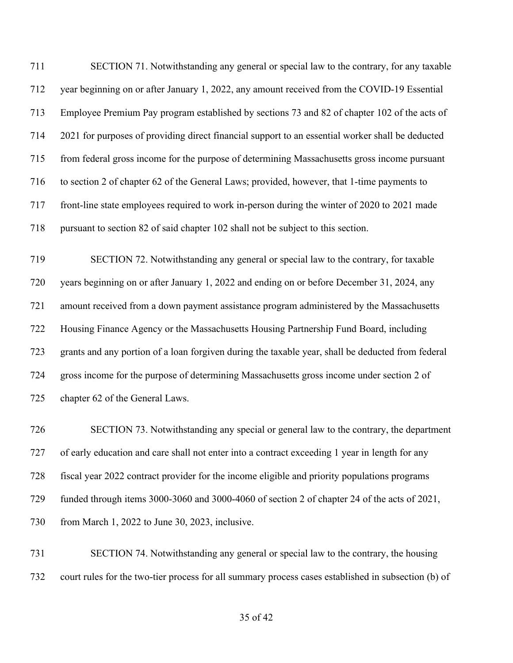SECTION 71. Notwithstanding any general or special law to the contrary, for any taxable year beginning on or after January 1, 2022, any amount received from the COVID-19 Essential Employee Premium Pay program established by sections 73 and 82 of chapter 102 of the acts of 2021 for purposes of providing direct financial support to an essential worker shall be deducted from federal gross income for the purpose of determining Massachusetts gross income pursuant to section 2 of chapter 62 of the General Laws; provided, however, that 1-time payments to front-line state employees required to work in-person during the winter of 2020 to 2021 made pursuant to section 82 of said chapter 102 shall not be subject to this section.

 SECTION 72. Notwithstanding any general or special law to the contrary, for taxable years beginning on or after January 1, 2022 and ending on or before December 31, 2024, any amount received from a down payment assistance program administered by the Massachusetts Housing Finance Agency or the Massachusetts Housing Partnership Fund Board, including grants and any portion of a loan forgiven during the taxable year, shall be deducted from federal gross income for the purpose of determining Massachusetts gross income under section 2 of chapter 62 of the General Laws.

 SECTION 73. Notwithstanding any special or general law to the contrary, the department of early education and care shall not enter into a contract exceeding 1 year in length for any fiscal year 2022 contract provider for the income eligible and priority populations programs funded through items 3000-3060 and 3000-4060 of section 2 of chapter 24 of the acts of 2021, from March 1, 2022 to June 30, 2023, inclusive.

 SECTION 74. Notwithstanding any general or special law to the contrary, the housing court rules for the two-tier process for all summary process cases established in subsection (b) of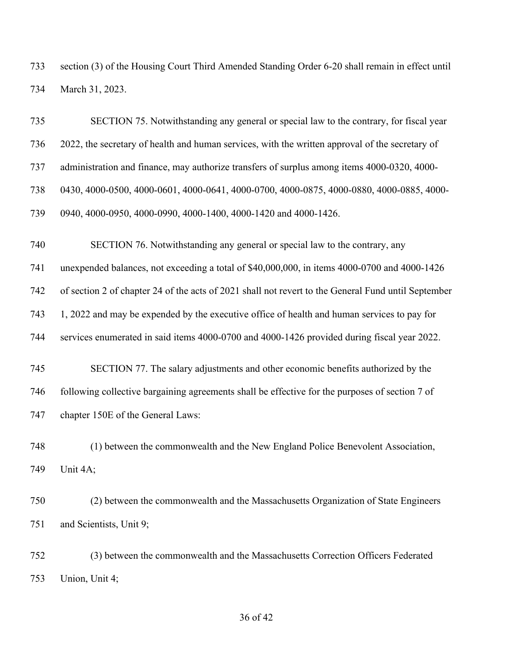section (3) of the Housing Court Third Amended Standing Order 6-20 shall remain in effect until March 31, 2023.

 SECTION 75. Notwithstanding any general or special law to the contrary, for fiscal year 2022, the secretary of health and human services, with the written approval of the secretary of administration and finance, may authorize transfers of surplus among items 4000-0320, 4000- 0430, 4000-0500, 4000-0601, 4000-0641, 4000-0700, 4000-0875, 4000-0880, 4000-0885, 4000- 0940, 4000-0950, 4000-0990, 4000-1400, 4000-1420 and 4000-1426. SECTION 76. Notwithstanding any general or special law to the contrary, any unexpended balances, not exceeding a total of \$40,000,000, in items 4000-0700 and 4000-1426 of section 2 of chapter 24 of the acts of 2021 shall not revert to the General Fund until September 1, 2022 and may be expended by the executive office of health and human services to pay for services enumerated in said items 4000-0700 and 4000-1426 provided during fiscal year 2022. SECTION 77. The salary adjustments and other economic benefits authorized by the following collective bargaining agreements shall be effective for the purposes of section 7 of chapter 150E of the General Laws: (1) between the commonwealth and the New England Police Benevolent Association, Unit 4A; (2) between the commonwealth and the Massachusetts Organization of State Engineers and Scientists, Unit 9; (3) between the commonwealth and the Massachusetts Correction Officers Federated

Union, Unit 4;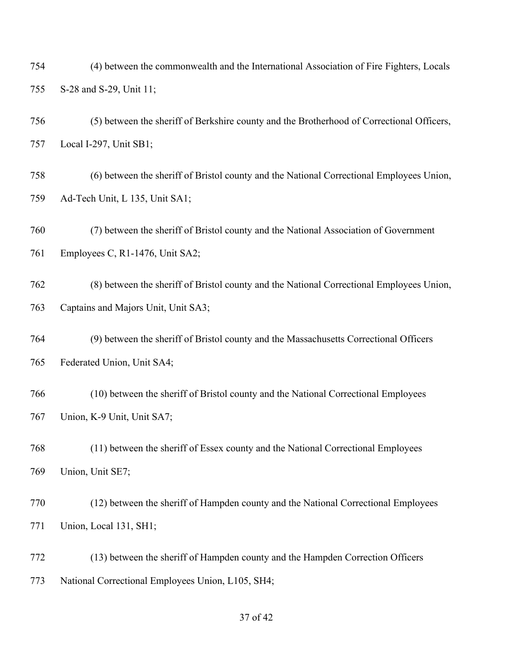(4) between the commonwealth and the International Association of Fire Fighters, Locals S-28 and S-29, Unit 11;

 (5) between the sheriff of Berkshire county and the Brotherhood of Correctional Officers, Local I-297, Unit SB1;

 (6) between the sheriff of Bristol county and the National Correctional Employees Union, Ad-Tech Unit, L 135, Unit SA1;

(7) between the sheriff of Bristol county and the National Association of Government

Employees C, R1-1476, Unit SA2;

 (8) between the sheriff of Bristol county and the National Correctional Employees Union, Captains and Majors Unit, Unit SA3;

 (9) between the sheriff of Bristol county and the Massachusetts Correctional Officers Federated Union, Unit SA4;

 (10) between the sheriff of Bristol county and the National Correctional Employees Union, K-9 Unit, Unit SA7;

 (11) between the sheriff of Essex county and the National Correctional Employees Union, Unit SE7;

 (12) between the sheriff of Hampden county and the National Correctional Employees Union, Local 131, SH1;

 (13) between the sheriff of Hampden county and the Hampden Correction Officers National Correctional Employees Union, L105, SH4;

## of 42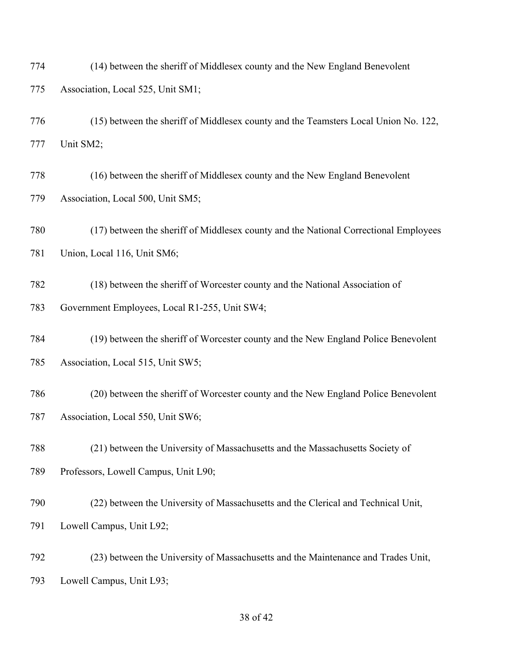(14) between the sheriff of Middlesex county and the New England Benevolent Association, Local 525, Unit SM1;

 (15) between the sheriff of Middlesex county and the Teamsters Local Union No. 122, Unit SM2;

 (16) between the sheriff of Middlesex county and the New England Benevolent Association, Local 500, Unit SM5;

 (17) between the sheriff of Middlesex county and the National Correctional Employees Union, Local 116, Unit SM6;

 (18) between the sheriff of Worcester county and the National Association of Government Employees, Local R1-255, Unit SW4;

 (19) between the sheriff of Worcester county and the New England Police Benevolent Association, Local 515, Unit SW5;

 (20) between the sheriff of Worcester county and the New England Police Benevolent Association, Local 550, Unit SW6;

 (21) between the University of Massachusetts and the Massachusetts Society of Professors, Lowell Campus, Unit L90;

 (22) between the University of Massachusetts and the Clerical and Technical Unit, Lowell Campus, Unit L92;

 (23) between the University of Massachusetts and the Maintenance and Trades Unit, Lowell Campus, Unit L93;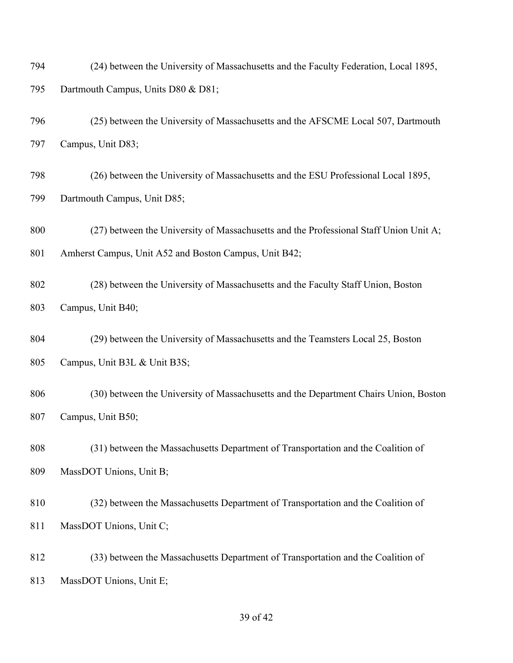| 794 | (24) between the University of Massachusetts and the Faculty Federation, Local 1895, |
|-----|--------------------------------------------------------------------------------------|
| 795 | Dartmouth Campus, Units D80 & D81;                                                   |

- (25) between the University of Massachusetts and the AFSCME Local 507, Dartmouth Campus, Unit D83;
- (26) between the University of Massachusetts and the ESU Professional Local 1895, Dartmouth Campus, Unit D85;
- 800 (27) between the University of Massachusetts and the Professional Staff Union Unit A; 801 Amherst Campus, Unit A52 and Boston Campus, Unit B42;
- (28) between the University of Massachusetts and the Faculty Staff Union, Boston Campus, Unit B40;
- (29) between the University of Massachusetts and the Teamsters Local 25, Boston Campus, Unit B3L & Unit B3S;
- (30) between the University of Massachusetts and the Department Chairs Union, Boston Campus, Unit B50;
- (31) between the Massachusetts Department of Transportation and the Coalition of MassDOT Unions, Unit B;
- (32) between the Massachusetts Department of Transportation and the Coalition of MassDOT Unions, Unit C;
- (33) between the Massachusetts Department of Transportation and the Coalition of MassDOT Unions, Unit E;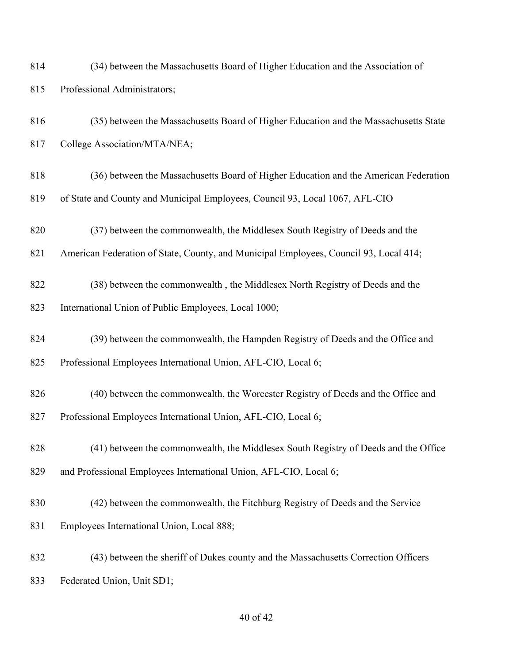| 814 | (34) between the Massachusetts Board of Higher Education and the Association of |
|-----|---------------------------------------------------------------------------------|
| 815 | Professional Administrators;                                                    |

- (35) between the Massachusetts Board of Higher Education and the Massachusetts State College Association/MTA/NEA;
- (36) between the Massachusetts Board of Higher Education and the American Federation of State and County and Municipal Employees, Council 93, Local 1067, AFL-CIO
- (37) between the commonwealth, the Middlesex South Registry of Deeds and the
- American Federation of State, County, and Municipal Employees, Council 93, Local 414;
- (38) between the commonwealth , the Middlesex North Registry of Deeds and the International Union of Public Employees, Local 1000;
- (39) between the commonwealth, the Hampden Registry of Deeds and the Office and Professional Employees International Union, AFL-CIO, Local 6;
- (40) between the commonwealth, the Worcester Registry of Deeds and the Office and Professional Employees International Union, AFL-CIO, Local 6;
- (41) between the commonwealth, the Middlesex South Registry of Deeds and the Office and Professional Employees International Union, AFL-CIO, Local 6;
- (42) between the commonwealth, the Fitchburg Registry of Deeds and the Service Employees International Union, Local 888;
- (43) between the sheriff of Dukes county and the Massachusetts Correction Officers Federated Union, Unit SD1;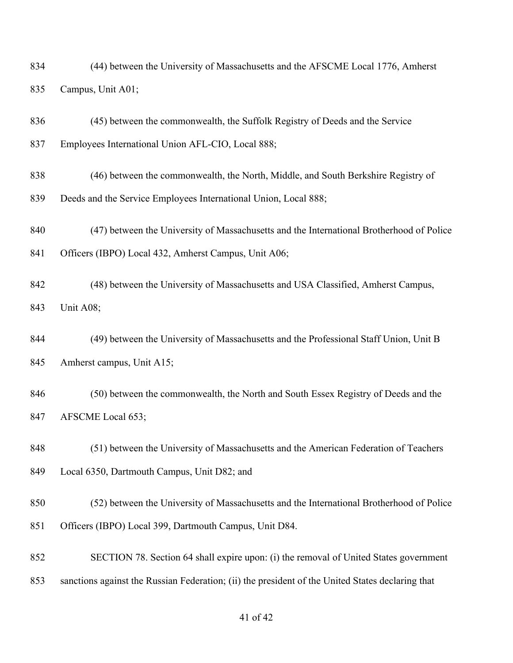| 834 | (44) between the University of Massachusetts and the AFSCME Local 1776, Amherst |  |
|-----|---------------------------------------------------------------------------------|--|
| 835 | Campus, Unit A01;                                                               |  |

- (45) between the commonwealth, the Suffolk Registry of Deeds and the Service
- Employees International Union AFL-CIO, Local 888;
- (46) between the commonwealth, the North, Middle, and South Berkshire Registry of
- Deeds and the Service Employees International Union, Local 888;
- (47) between the University of Massachusetts and the International Brotherhood of Police
- Officers (IBPO) Local 432, Amherst Campus, Unit A06;
- (48) between the University of Massachusetts and USA Classified, Amherst Campus, Unit A08;
- (49) between the University of Massachusetts and the Professional Staff Union, Unit B Amherst campus, Unit A15;
- (50) between the commonwealth, the North and South Essex Registry of Deeds and the AFSCME Local 653;
- (51) between the University of Massachusetts and the American Federation of Teachers Local 6350, Dartmouth Campus, Unit D82; and
- (52) between the University of Massachusetts and the International Brotherhood of Police Officers (IBPO) Local 399, Dartmouth Campus, Unit D84.
- SECTION 78. Section 64 shall expire upon: (i) the removal of United States government sanctions against the Russian Federation; (ii) the president of the United States declaring that